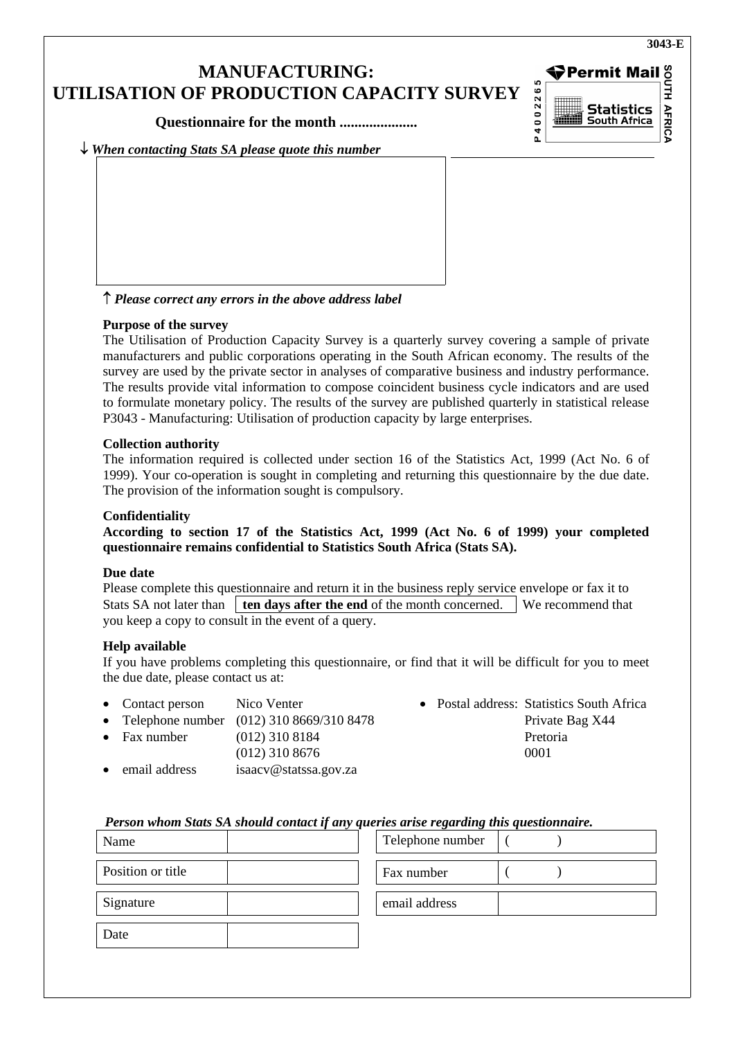## **MANUFACTURING: UTILISATION OF PRODUCTION CAPACITY SURVEY**

**Questionnaire for the month .....................** 

**◆Permit Mail UTH AFRICA Statistics**<br>South Africa

P4002265

↓ *When contacting Stats SA please quote this number*

↑ *Please correct any errors in the above address label*

### **Purpose of the survey**

The Utilisation of Production Capacity Survey is a quarterly survey covering a sample of private manufacturers and public corporations operating in the South African economy. The results of the survey are used by the private sector in analyses of comparative business and industry performance. The results provide vital information to compose coincident business cycle indicators and are used to formulate monetary policy. The results of the survey are published quarterly in statistical release P3043 - Manufacturing: Utilisation of production capacity by large enterprises.

### **Collection authority**

The information required is collected under section 16 of the Statistics Act, 1999 (Act No. 6 of 1999). Your co-operation is sought in completing and returning this questionnaire by the due date. The provision of the information sought is compulsory.

### **Confidentiality**

**According to section 17 of the Statistics Act, 1999 (Act No. 6 of 1999) your completed questionnaire remains confidential to Statistics South Africa (Stats SA).** 

### **Due date**

Please complete this questionnaire and return it in the business reply service envelope or fax it to Stats SA not later than **ten days after the end** of the month concerned. We recommend that you keep a copy to consult in the event of a query.

### **Help available**

If you have problems completing this questionnaire, or find that it will be difficult for you to meet the due date, please contact us at:

- 
- Telephone number (012) 310 8669/310 8478 Private Bag X44
- (012) 310 8676 0001
- email address isaacv@statssa.gov.za
- Contact person Nico Venter Postal address: Statistics South Africa • Fax number (012) 310 8184 Pretoria

### *Person whom Stats SA should contact if any queries arise regarding this questionnaire.*

| Name              |               | Telephone number |  |
|-------------------|---------------|------------------|--|
| Position or title | Fax number    |                  |  |
| Signature         | email address |                  |  |
| Date              |               |                  |  |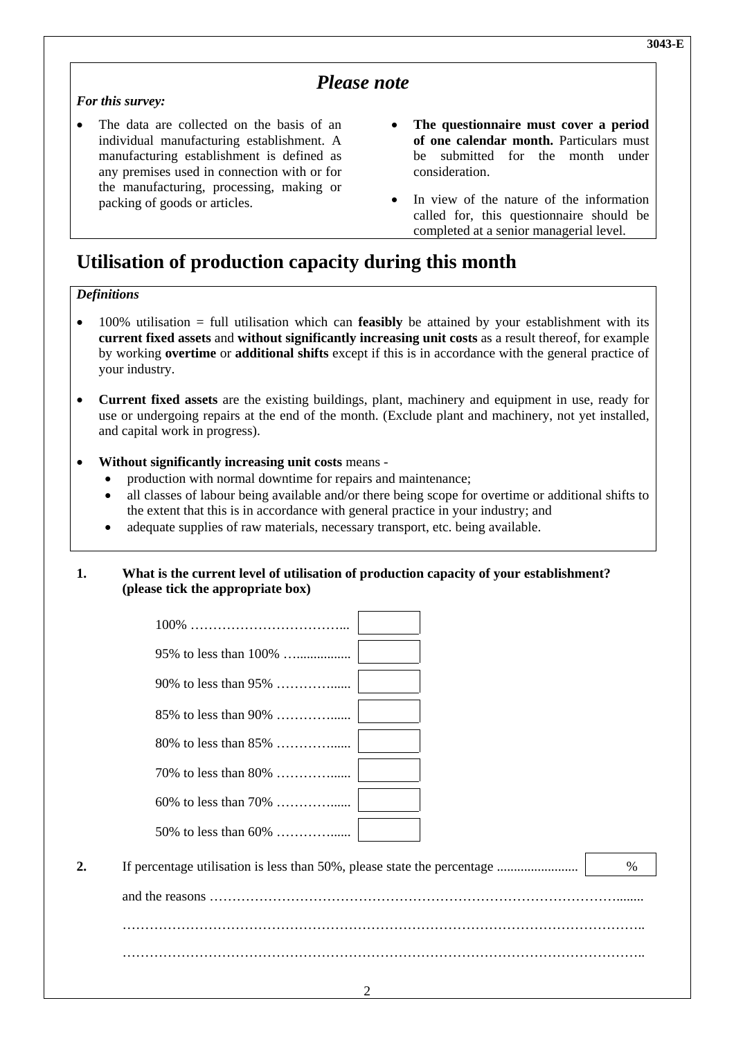### *Please note*

### *For this survey:*

- The data are collected on the basis of an individual manufacturing establishment. A manufacturing establishment is defined as any premises used in connection with or for the manufacturing, processing, making or packing of goods or articles.
- **The questionnaire must cover a period of one calendar month.** Particulars must be submitted for the month under consideration.
- In view of the nature of the information called for, this questionnaire should be completed at a senior managerial level.

# **Utilisation of production capacity during this month**

### *Definitions*

- 100% utilisation = full utilisation which can **feasibly** be attained by your establishment with its **current fixed assets** and **without significantly increasing unit costs** as a result thereof, for example by working **overtime** or **additional shifts** except if this is in accordance with the general practice of your industry.
- **Current fixed assets** are the existing buildings, plant, machinery and equipment in use, ready for use or undergoing repairs at the end of the month. (Exclude plant and machinery, not yet installed, and capital work in progress).
- **Without significantly increasing unit costs** means
	- production with normal downtime for repairs and maintenance;
	- all classes of labour being available and/or there being scope for overtime or additional shifts to the extent that this is in accordance with general practice in your industry; and
	- adequate supplies of raw materials, necessary transport, etc. being available.

### **1. What is the current level of utilisation of production capacity of your establishment? (please tick the appropriate box)**

|    | 95% to less than 100% |      |
|----|-----------------------|------|
|    |                       |      |
|    |                       |      |
|    |                       |      |
|    |                       |      |
|    |                       |      |
|    |                       |      |
| 2. |                       | $\%$ |
|    |                       |      |
|    |                       |      |
|    |                       |      |
|    | $\sim$                |      |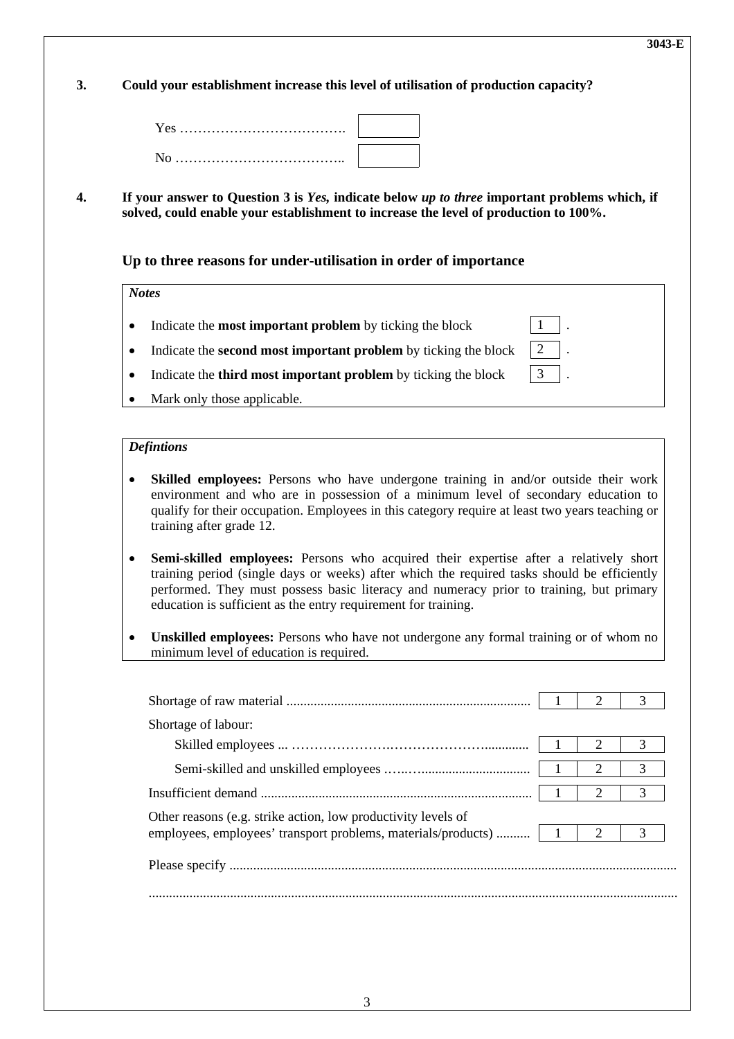**3. Could your establishment increase this level of utilisation of production capacity?** 

**4. If your answer to Question 3 is** *Yes,* **indicate below** *up to three* **important problems which, if solved, could enable your establishment to increase the level of production to 100%.** 

 **Up to three reasons for under-utilisation in order of importance** 

*Notes*

- Indicate the **most important problem** by ticking the block 1
- Indicate the **second most important problem** by ticking the block 2
- Indicate the **third most important problem** by ticking the block 3
- Mark only those applicable.

#### *Defintions*

- **Skilled employees:** Persons who have undergone training in and/or outside their work environment and who are in possession of a minimum level of secondary education to qualify for their occupation. Employees in this category require at least two years teaching or training after grade 12.
- **Semi-skilled employees:** Persons who acquired their expertise after a relatively short training period (single days or weeks) after which the required tasks should be efficiently performed. They must possess basic literacy and numeracy prior to training, but primary education is sufficient as the entry requirement for training.
- **Unskilled employees:** Persons who have not undergone any formal training or of whom no minimum level of education is required.

| Shortage of labour:                                           |               |   |
|---------------------------------------------------------------|---------------|---|
|                                                               |               |   |
|                                                               |               |   |
|                                                               |               |   |
| Other reasons (e.g. strike action, low productivity levels of |               |   |
|                                                               | $\mathcal{L}$ | 3 |
|                                                               |               |   |
|                                                               |               |   |